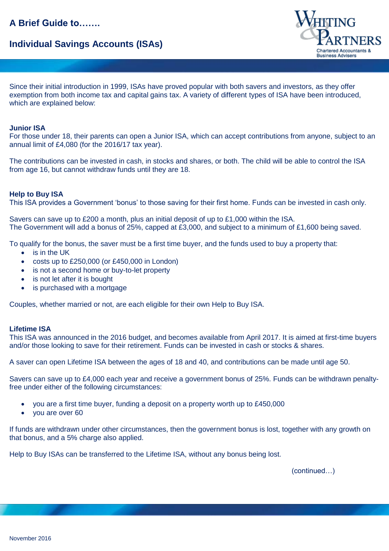# **A Brief Guide to…….**

# **Individual Savings Accounts (ISAs)**



Since their initial introduction in 1999, ISAs have proved popular with both savers and investors, as they offer exemption from both income tax and capital gains tax. A variety of different types of ISA have been introduced, which are explained below:

### **Junior ISA**

For those under 18, their parents can open a Junior ISA, which can accept contributions from anyone, subject to an annual limit of £4,080 (for the 2016/17 tax year).

The contributions can be invested in cash, in stocks and shares, or both. The child will be able to control the ISA from age 16, but cannot withdraw funds until they are 18.

### **Help to Buy ISA**

This ISA provides a Government 'bonus' to those saving for their first home. Funds can be invested in cash only.

Savers can save up to £200 a month, plus an initial deposit of up to £1,000 within the ISA. The Government will add a bonus of 25%, capped at £3,000, and subject to a minimum of £1,600 being saved.

To qualify for the bonus, the saver must be a first time buyer, and the funds used to buy a property that:

- is in the UK
- costs up to £250,000 (or £450,000 in London)
- is not a second home or buy-to-let property
- is not let after it is bought
- is purchased with a mortgage

Couples, whether married or not, are each eligible for their own Help to Buy ISA.

### **Lifetime ISA**

This ISA was announced in the 2016 budget, and becomes available from April 2017. It is aimed at first-time buyers and/or those looking to save for their retirement. Funds can be invested in cash or stocks & shares.

A saver can open Lifetime ISA between the ages of 18 and 40, and contributions can be made until age 50.

Savers can save up to £4,000 each year and receive a government bonus of 25%. Funds can be withdrawn penaltyfree under either of the following circumstances:

- you are a first time buyer, funding a deposit on a property worth up to £450,000
- you are over 60

If funds are withdrawn under other circumstances, then the government bonus is lost, together with any growth on that bonus, and a 5% charge also applied.

Help to Buy ISAs can be transferred to the Lifetime ISA, without any bonus being lost.

(continued…)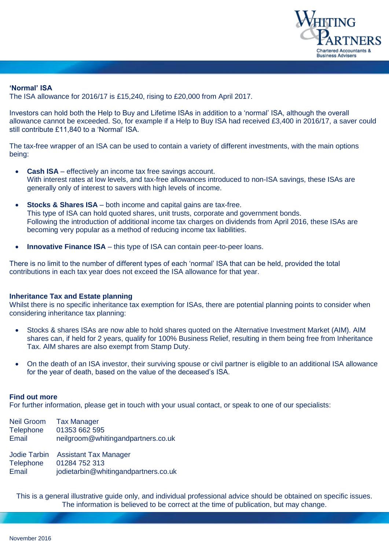

### **'Normal' ISA**

The ISA allowance for 2016/17 is £15,240, rising to £20,000 from April 2017.

Investors can hold both the Help to Buy and Lifetime ISAs in addition to a 'normal' ISA, although the overall allowance cannot be exceeded. So, for example if a Help to Buy ISA had received £3,400 in 2016/17, a saver could still contribute £11,840 to a 'Normal' ISA.

The tax-free wrapper of an ISA can be used to contain a variety of different investments, with the main options being:

- **Cash ISA** effectively an income tax free savings account. With interest rates at low levels, and tax-free allowances introduced to non-ISA savings, these ISAs are generally only of interest to savers with high levels of income.
- **Stocks & Shares ISA** both income and capital gains are tax-free. This type of ISA can hold quoted shares, unit trusts, corporate and government bonds. Following the introduction of additional income tax charges on dividends from April 2016, these ISAs are becoming very popular as a method of reducing income tax liabilities.
- **Innovative Finance ISA** this type of ISA can contain peer-to-peer loans.

There is no limit to the number of different types of each 'normal' ISA that can be held, provided the total contributions in each tax year does not exceed the ISA allowance for that year.

### **Inheritance Tax and Estate planning**

Whilst there is no specific inheritance tax exemption for ISAs, there are potential planning points to consider when considering inheritance tax planning:

- Stocks & shares ISAs are now able to hold shares quoted on the Alternative Investment Market (AIM). AIM shares can, if held for 2 years, qualify for 100% Business Relief, resulting in them being free from Inheritance Tax. AIM shares are also exempt from Stamp Duty.
- On the death of an ISA investor, their surviving spouse or civil partner is eligible to an additional ISA allowance for the year of death, based on the value of the deceased's ISA.

### **Find out more**

For further information, please get in touch with your usual contact, or speak to one of our specialists:

| <b>Neil Groom</b> | <b>Tax Manager</b>                 |
|-------------------|------------------------------------|
| <b>Telephone</b>  | 01353 662 595                      |
| Email             | neilgroom@whitingandpartners.co.uk |
| Jodie Tarbin      | <b>Assistant Tax Manager</b>       |
| <b>Telephone</b>  | 01284 752 313                      |

Email jodietarbin@whitingandpartners.co.uk

This is a general illustrative guide only, and individual professional advice should be obtained on specific issues. The information is believed to be correct at the time of publication, but may change.